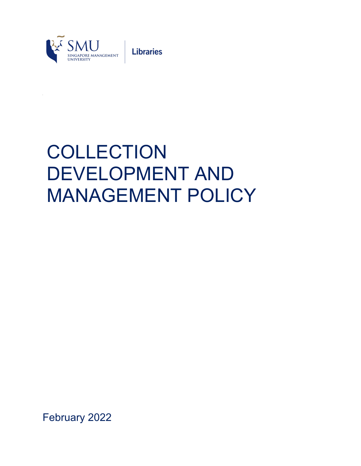

**Libraries** 

# COLLECTION DEVELOPMENT AND MANAGEMENT POLICY

February 2022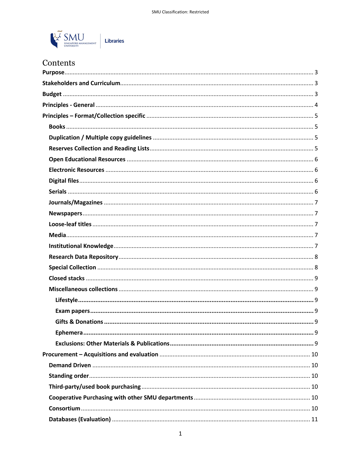

# Contents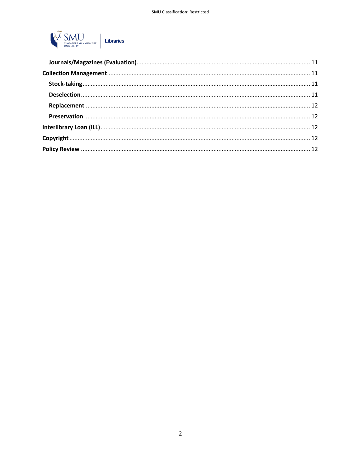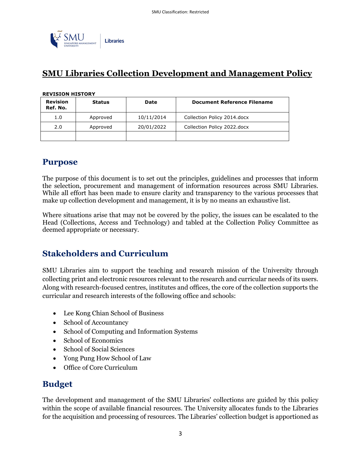

# **SMU Libraries Collection Development and Management Policy**

#### **REVISION HISTORY**

| <b>Revision</b><br>Ref. No. | <b>Status</b> | <b>Date</b> | <b>Document Reference Filename</b> |
|-----------------------------|---------------|-------------|------------------------------------|
| 1.0                         | Approved      | 10/11/2014  | Collection Policy 2014.docx        |
| 2.0                         | Approved      | 20/01/2022  | Collection Policy 2022.docx        |
|                             |               |             |                                    |

# **Purpose**

The purpose of this document is to set out the principles, guidelines and processes that inform the selection, procurement and management of information resources across SMU Libraries. While all effort has been made to ensure clarity and transparency to the various processes that make up collection development and management, it is by no means an exhaustive list.

Where situations arise that may not be covered by the policy, the issues can be escalated to the Head (Collections, Access and Technology) and tabled at the Collection Policy Committee as deemed appropriate or necessary.

# **Stakeholders and Curriculum**

SMU Libraries aim to support the teaching and research mission of the University through collecting print and electronic resources relevant to the research and curricular needs of its users. Along with research-focused centres, institutes and offices, the core of the collection supports the curricular and research interests of the following office and schools:

- Lee Kong Chian School of Business
- School of Accountancy
- School of Computing and Information Systems
- School of Economics
- School of Social Sciences
- Yong Pung How School of Law
- Office of Core Curriculum

# **Budget**

The development and management of the SMU Libraries' collections are guided by this policy within the scope of available financial resources. The University allocates funds to the Libraries for the acquisition and processing of resources. The Libraries' collection budget is apportioned as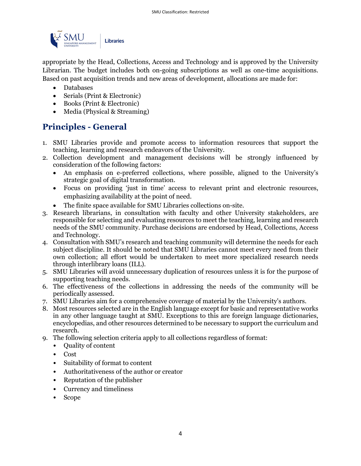

appropriate by the Head, Collections, Access and Technology and is approved by the University Librarian. The budget includes both on-going subscriptions as well as one-time acquisitions. Based on past acquisition trends and new areas of development, allocations are made for:

- Databases
- Serials (Print & Electronic)
- Books (Print & Electronic)
- Media (Physical & Streaming)

# **Principles - General**

- 1. SMU Libraries provide and promote access to information resources that support the teaching, learning and research endeavors of the University.
- 2. Collection development and management decisions will be strongly influenced by consideration of the following factors:
	- An emphasis on e-preferred collections, where possible, aligned to the University's strategic goal of digital transformation.
	- Focus on providing 'just in time' access to relevant print and electronic resources, emphasizing availability at the point of need.
	- The finite space available for SMU Libraries collections on-site.
- 3. Research librarians, in consultation with faculty and other University stakeholders, are responsible for selecting and evaluating resources to meet the teaching, learning and research needs of the SMU community. Purchase decisions are endorsed by Head, Collections, Access and Technology.
- 4. Consultation with SMU's research and teaching community will determine the needs for each subject discipline. It should be noted that SMU Libraries cannot meet every need from their own collection; all effort would be undertaken to meet more specialized research needs through interlibrary loans (ILL).
- 5. SMU Libraries will avoid unnecessary duplication of resources unless it is for the purpose of supporting teaching needs.
- 6. The effectiveness of the collections in addressing the needs of the community will be periodically assessed.
- 7. SMU Libraries aim for a comprehensive coverage of material by the University's authors.
- 8. Most resources selected are in the English language except for basic and representative works in any other language taught at SMU. Exceptions to this are foreign language dictionaries, encyclopedias, and other resources determined to be necessary to support the curriculum and research.
- 9. The following selection criteria apply to all collections regardless of format:
	- Quality of content
	- Cost
	- Suitability of format to content
	- Authoritativeness of the author or creator
	- Reputation of the publisher
	- Currency and timeliness
	- Scope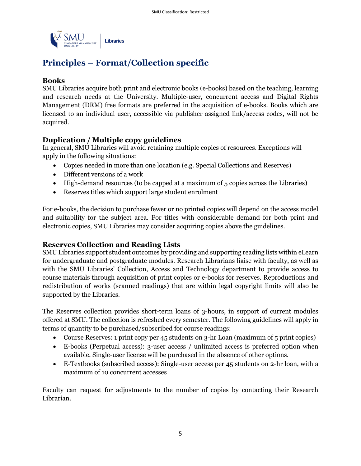

# **Principles – Format/Collection specific**

#### **Books**

SMU Libraries acquire both print and electronic books (e-books) based on the teaching, learning and research needs at the University. Multiple-user, concurrent access and Digital Rights Management (DRM) free formats are preferred in the acquisition of e-books. Books which are licensed to an individual user, accessible via publisher assigned link/access codes, will not be acquired.

## **Duplication / Multiple copy guidelines**

In general, SMU Libraries will avoid retaining multiple copies of resources. Exceptions will apply in the following situations:

- Copies needed in more than one location (e.g. Special Collections and Reserves)
- Different versions of a work
- High-demand resources (to be capped at a maximum of 5 copies across the Libraries)
- Reserves titles which support large student enrolment

For e-books, the decision to purchase fewer or no printed copies will depend on the access model and suitability for the subject area. For titles with considerable demand for both print and electronic copies, SMU Libraries may consider acquiring copies above the guidelines.

## **Reserves Collection and Reading Lists**

SMU Libraries support student outcomes by providing and supporting reading lists within eLearn for undergraduate and postgraduate modules. Research Librarians liaise with faculty, as well as with the SMU Libraries' Collection, Access and Technology department to provide access to course materials through acquisition of print copies or e-books for reserves. Reproductions and redistribution of works (scanned readings) that are within legal copyright limits will also be supported by the Libraries.

The Reserves collection provides short-term loans of 3-hours, in support of current modules offered at SMU. The collection is refreshed every semester. The following guidelines will apply in terms of quantity to be purchased/subscribed for course readings:

- Course Reserves: 1 print copy per 45 students on 3-hr Loan (maximum of 5 print copies)
- E-books (Perpetual access): 3-user access / unlimited access is preferred option when available. Single-user license will be purchased in the absence of other options.
- E-Textbooks (subscribed access): Single-user access per 45 students on 2-hr loan, with a maximum of 10 concurrent accesses

Faculty can request for adjustments to the number of copies by contacting their Research Librarian.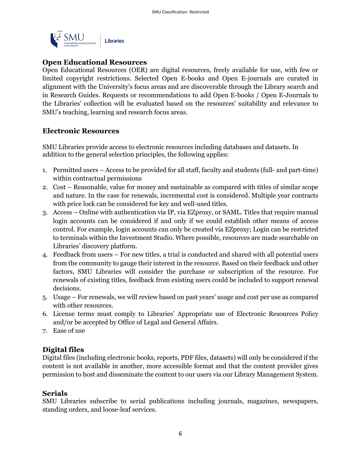

#### **Open Educational Resources**

Open Educational Resources (OER) are digital resources, freely available for use, with few or limited copyright restrictions. Selected Open E-books and Open E-journals are curated in alignment with the University's focus areas and are discoverable through the Library search and in Research Guides. Requests or recommendations to add Open E-books / Open E-Journals to the Libraries' collection will be evaluated based on the resources' suitability and relevance to SMU's teaching, learning and research focus areas.

#### **Electronic Resources**

SMU Libraries provide access to electronic resources including databases and datasets. In addition to the general selection principles, the following applies:

- 1. Permitted users Access to be provided for all staff, faculty and students (full- and part-time) within contractual permissions
- 2. Cost Reasonable, value for money and sustainable as compared with titles of similar scope and nature. In the case for renewals, incremental cost is considered. Multiple year contracts with price lock can be considered for key and well-used titles.
- 3. Access Online with authentication via IP, via EZproxy, or SAML. Titles that require manual login accounts can be considered if and only if we could establish other means of access control. For example, login accounts can only be created via EZproxy; Login can be restricted to terminals within the Investment Studio. Where possible, resources are made searchable on Libraries' discovery platform.
- 4. Feedback from users For new titles, a trial is conducted and shared with all potential users from the community to gauge their interest in the resource. Based on their feedback and other factors, SMU Libraries will consider the purchase or subscription of the resource. For renewals of existing titles, feedback from existing users could be included to support renewal decisions.
- 5. Usage For renewals, we will review based on past years' usage and cost per use as compared with other resources.
- 6. License terms must comply to Libraries' Appropriate use of Electronic Resources Policy and/or be accepted by Office of Legal and General Affairs.
- 7. Ease of use

#### **Digital files**

Digital files (including electronic books, reports, PDF files, datasets) will only be considered if the content is not available in another, more accessible format and that the content provider gives permission to host and disseminate the content to our users via our Library Management System.

#### **Serials**

SMU Libraries subscribe to serial publications including journals, magazines, newspapers, standing orders, and loose-leaf services.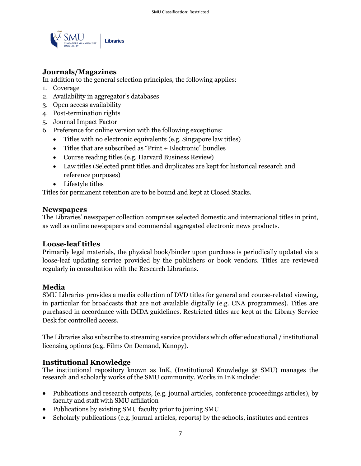

## **Journals/Magazines**

In addition to the general selection principles, the following applies:

- 1. Coverage
- 2. Availability in aggregator's databases
- 3. Open access availability
- 4. Post-termination rights
- 5. Journal Impact Factor
- 6. Preference for online version with the following exceptions:
	- Titles with no electronic equivalents (e.g. Singapore law titles)
	- Titles that are subscribed as "Print + Electronic" bundles
	- Course reading titles (e.g. Harvard Business Review)
	- Law titles (Selected print titles and duplicates are kept for historical research and reference purposes)
	- Lifestyle titles

Titles for permanent retention are to be bound and kept at Closed Stacks.

#### **Newspapers**

The Libraries' newspaper collection comprises selected domestic and international titles in print, as well as online newspapers and commercial aggregated electronic news products.

#### **Loose-leaf titles**

Primarily legal materials, the physical book/binder upon purchase is periodically updated via a loose-leaf updating service provided by the publishers or book vendors. Titles are reviewed regularly in consultation with the Research Librarians.

#### **Media**

SMU Libraries provides a media collection of DVD titles for general and course-related viewing, in particular for broadcasts that are not available digitally (e.g. CNA programmes). Titles are purchased in accordance with IMDA guidelines. Restricted titles are kept at the Library Service Desk for controlled access.

The Libraries also subscribe to streaming service providers which offer educational / institutional licensing options (e.g. Films On Demand, Kanopy).

#### **Institutional Knowledge**

The institutional repository known as InK, (Institutional Knowledge @ SMU) manages the research and scholarly works of the SMU community. Works in InK include:

- Publications and research outputs, (e.g. journal articles, conference proceedings articles), by faculty and staff with SMU affiliation
- Publications by existing SMU faculty prior to joining SMU
- Scholarly publications (e.g. journal articles, reports) by the schools, institutes and centres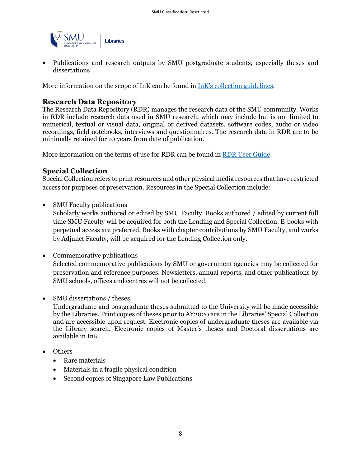

• Publications and research outputs by SMU postgraduate students, especially theses and dissertations

More information on the scope of InK can be found in InK's collection guidelines.

#### **Research Data Repository**

The Research Data Repository (RDR) manages the research data of the SMU community. Works in RDR include research data used in SMU research, which may include but is not limited to numerical, textual or visual data, original or derived datasets, software codes, audio or video recordings, field notebooks, interviews and questionnaires. The research data in RDR are to be minimally retained for 10 years from date of publication.

More information on the terms of use for RDR can be found in RDR User Guide.

#### **Special Collection**

Special Collection refers to print resources and other physical media resources that have restricted access for purposes of preservation. Resources in the Special Collection include:

• SMU Faculty publications

Scholarly works authored or edited by SMU Faculty. Books authored / edited by current full time SMU Faculty will be acquired for both the Lending and Special Collection. E-books with perpetual access are preferred. Books with chapter contributions by SMU Faculty, and works by Adjunct Faculty, will be acquired for the Lending Collection only.

- Commemorative publications Selected commemorative publications by SMU or government agencies may be collected for preservation and reference purposes. Newsletters, annual reports, and other publications by SMU schools, offices and centres will not be collected.
- SMU dissertations / theses

Undergraduate and postgraduate theses submitted to the University will be made accessible by the Libraries. Print copies of theses prior to AY2020 are in the Libraries' Special Collection and are accessible upon request. Electronic copies of undergraduate theses are available via the Library search. Electronic copies of Master's theses and Doctoral dissertations are available in InK.

- Others
	- Rare materials
	- Materials in a fragile physical condition
	- Second copies of Singapore Law Publications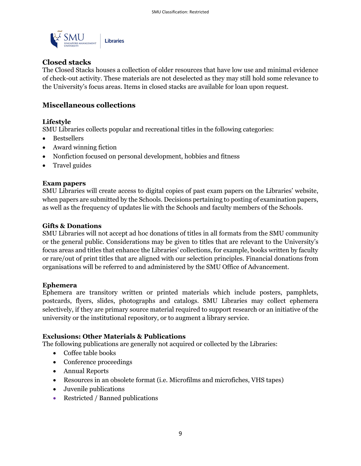

## **Closed stacks**

The Closed Stacks houses a collection of older resources that have low use and minimal evidence of check-out activity. These materials are not deselected as they may still hold some relevance to the University's focus areas. Items in closed stacks are available for loan upon request.

## **Miscellaneous collections**

#### **Lifestyle**

SMU Libraries collects popular and recreational titles in the following categories:

- Bestsellers
- Award winning fiction
- Nonfiction focused on personal development, hobbies and fitness
- Travel guides

#### **Exam papers**

SMU Libraries will create access to digital copies of past exam papers on the Libraries' website, when papers are submitted by the Schools. Decisions pertaining to posting of examination papers, as well as the frequency of updates lie with the Schools and faculty members of the Schools.

#### **Gifts & Donations**

SMU Libraries will not accept ad hoc donations of titles in all formats from the SMU community or the general public. Considerations may be given to titles that are relevant to the University's focus areas and titles that enhance the Libraries' collections, for example, books written by faculty or rare/out of print titles that are aligned with our selection principles. Financial donations from organisations will be referred to and administered by the SMU Office of Advancement.

#### **Ephemera**

Ephemera are transitory written or printed materials which include posters, pamphlets, postcards, flyers, slides, photographs and catalogs. SMU Libraries may collect ephemera selectively, if they are primary source material required to support research or an initiative of the university or the institutional repository, or to augment a library service.

#### **Exclusions: Other Materials & Publications**

The following publications are generally not acquired or collected by the Libraries:

- Coffee table books
- Conference proceedings
- Annual Reports
- Resources in an obsolete format (i.e. Microfilms and microfiches, VHS tapes)
- Juvenile publications
- Restricted / Banned publications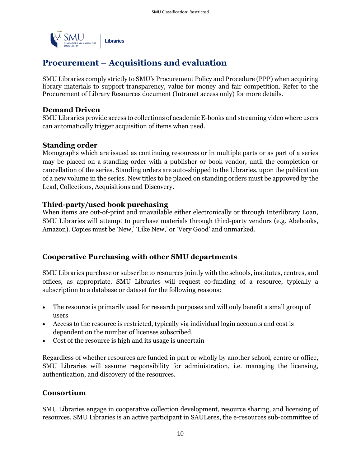

# **Procurement – Acquisitions and evaluation**

SMU Libraries comply strictly to SMU's Procurement Policy and Procedure (PPP) when acquiring library materials to support transparency, value for money and fair competition. Refer to the Procurement of Library Resources document (Intranet access only) for more details.

#### **Demand Driven**

SMU Libraries provide access to collections of academic E-books and streaming video where users can automatically trigger acquisition of items when used.

#### **Standing order**

Monographs which are issued as continuing resources or in multiple parts or as part of a series may be placed on a standing order with a publisher or book vendor, until the completion or cancellation of the series. Standing orders are auto-shipped to the Libraries, upon the publication of a new volume in the series. New titles to be placed on standing orders must be approved by the Lead, Collections, Acquisitions and Discovery.

#### **Third-party/used book purchasing**

When items are out-of-print and unavailable either electronically or through Interlibrary Loan, SMU Libraries will attempt to purchase materials through third-party vendors (e.g. Abebooks, Amazon). Copies must be 'New,' 'Like New,' or 'Very Good' and unmarked.

#### **Cooperative Purchasing with other SMU departments**

SMU Libraries purchase or subscribe to resources jointly with the schools, institutes, centres, and offices, as appropriate. SMU Libraries will request co-funding of a resource, typically a subscription to a database or dataset for the following reasons:

- The resource is primarily used for research purposes and will only benefit a small group of users
- Access to the resource is restricted, typically via individual login accounts and cost is dependent on the number of licenses subscribed.
- Cost of the resource is high and its usage is uncertain

Regardless of whether resources are funded in part or wholly by another school, centre or office, SMU Libraries will assume responsibility for administration, i.e. managing the licensing, authentication, and discovery of the resources.

## **Consortium**

SMU Libraries engage in cooperative collection development, resource sharing, and licensing of resources. SMU Libraries is an active participant in SAULeres, the e-resources sub-committee of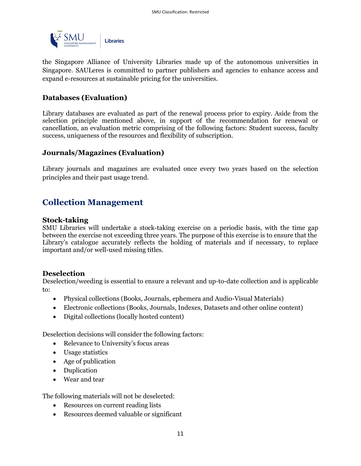

the Singapore Alliance of University Libraries made up of the autonomous universities in Singapore. SAULeres is committed to partner publishers and agencies to enhance access and expand e-resources at sustainable pricing for the universities.

#### **Databases (Evaluation)**

Library databases are evaluated as part of the renewal process prior to expiry. Aside from the selection principle mentioned above, in support of the recommendation for renewal or cancellation, an evaluation metric comprising of the following factors: Student success, faculty success, uniqueness of the resources and flexibility of subscription.

#### **Journals/Magazines (Evaluation)**

Library journals and magazines are evaluated once every two years based on the selection principles and their past usage trend.

# **Collection Management**

#### **Stock-taking**

SMU Libraries will undertake a stock-taking exercise on a periodic basis, with the time gap between the exercise not exceeding three years. The purpose of this exercise is to ensure that the Library's catalogue accurately reflects the holding of materials and if necessary, to replace important and/or well-used missing titles.

#### **Deselection**

Deselection/weeding is essential to ensure a relevant and up-to-date collection and is applicable to:

- Physical collections (Books, Journals, ephemera and Audio-Visual Materials)
- Electronic collections (Books, Journals, Indexes, Datasets and other online content)
- Digital collections (locally hosted content)

Deselection decisions will consider the following factors:

- Relevance to University's focus areas
- Usage statistics
- Age of publication
- Duplication
- Wear and tear

The following materials will not be deselected:

- Resources on current reading lists
- Resources deemed valuable or significant